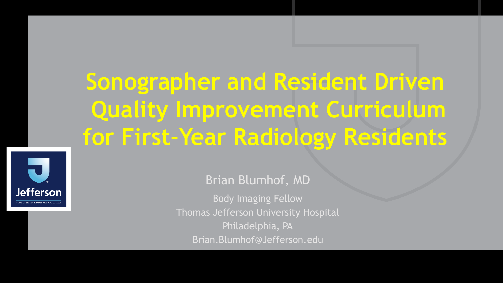**Sonographer and Resident Driven Quality Improvement Curriculum for First-Year Radiology Residents**



Brian Blumhof, MD Body Imaging Fellow Thomas Jefferson University Hospital Philadelphia, PA Brian.Blumhof@Jefferson.edu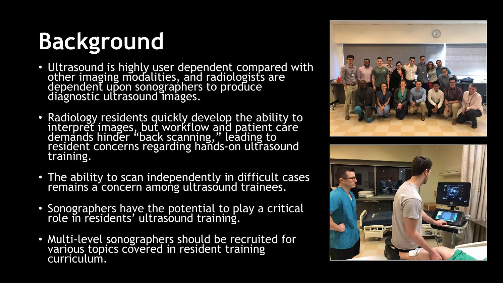# **Background**

- Ultrasound is highly user dependent compared with other imaging modalities, and radiologists are dependent upon sonographers to produce diagnostic ultrasound images.
- Radiology residents quickly develop the ability to interpret images, but workflow and patient care demands hinder "back scanning," leading to resident concerns regarding hands-on ultrasound training.
- The ability to scan independently in difficult cases remains a concern among ultrasound trainees.
- Sonographers have the potential to play a critical role in residents' ultrasound training.
- Multi-level sonographers should be recruited for various topics covered in resident training curriculum.



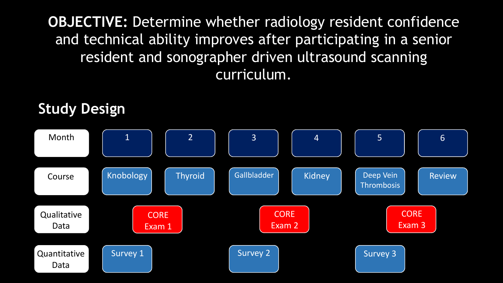**OBJECTIVE:** Determine whether radiology resident confidence and technical ability improves after participating in a senior resident and sonographer driven ultrasound scanning curriculum.

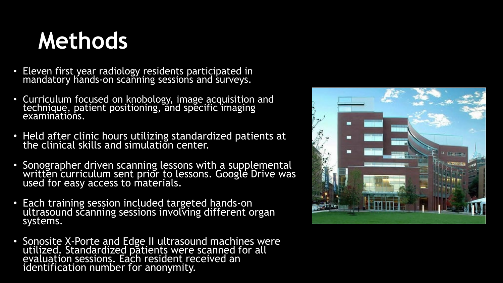#### **Methods**

- Eleven first year radiology residents participated in mandatory hands-on scanning sessions and surveys.
- Curriculum focused on knobology, image acquisition and technique, patient positioning, and specific imaging examinations.
- Held after clinic hours utilizing standardized patients at the clinical skills and simulation center.
- Sonographer driven scanning lessons with a supplemental written curriculum sent prior to lessons. Google Drive was used for easy access to materials.
- Each training session included targeted hands-on ultrasound scanning sessions involving different organ systems.
- Sonosite X-Porte and Edge II ultrasound machines were<br>utilized. Standardized patients were scanned for all evaluation sessions. Each resident received an identification number for anonymity.

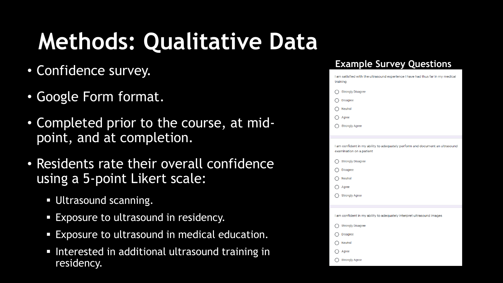## **Methods: Qualitative Data**

- Confidence survey.
- Google Form format.
- Completed prior to the course, at midpoint, and at completion.
- Residents rate their overall confidence using a 5-point Likert scale:
	- **Ultrasound scanning.**
	- **Exposure to ultrasound in residency.**
	- Exposure to ultrasound in medical education.
	- **Interested in additional ultrasound training in** residency.

#### **Example Survey Questions**

| I am satisfied with the ultrasound experience I have had thus far in my medical<br>training               |  |
|-----------------------------------------------------------------------------------------------------------|--|
| <b>Strongly Disagree</b>                                                                                  |  |
| <b>Disagree</b>                                                                                           |  |
| <b>Neutral</b>                                                                                            |  |
| Agree                                                                                                     |  |
| <b>Strongly Agree</b>                                                                                     |  |
| I am confident in my ability to adequately perform and document an ultrasound<br>examination on a patient |  |
| <b>Strongly Disagree</b>                                                                                  |  |
| <b>Disagree</b>                                                                                           |  |
| Neutral                                                                                                   |  |
| Agree                                                                                                     |  |
| <b>Strongly Agree</b>                                                                                     |  |
|                                                                                                           |  |
| I am confident in my ability to adequately interpret ultrasound images                                    |  |
| <b>Strongly Disagree</b>                                                                                  |  |
| <b>Disagree</b>                                                                                           |  |
| Neutral                                                                                                   |  |
| Agree                                                                                                     |  |
| <b>Strongly Agree</b>                                                                                     |  |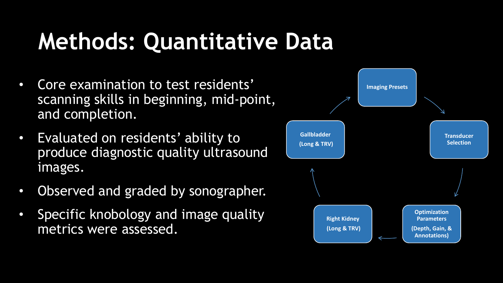### **Methods: Quantitative Data**

- Core examination to test residents' scanning skills in beginning, mid-point, and completion.
- Evaluated on residents' ability to produce diagnostic quality ultrasound images.
- Observed and graded by sonographer.
- Specific knobology and image quality metrics were assessed.

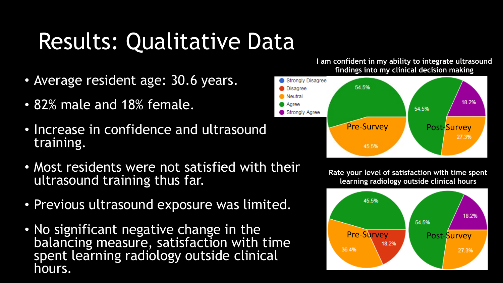## Results: Qualitative Data

- Average resident age: 30.6 years.
- 82% male and 18% female.
- Increase in confidence and ultrasound training.
- Most residents were not satisfied with their ultrasound training thus far.
- Previous ultrasound exposure was limited.
- No significant negative change in the balancing measure, satisfaction with time spent learning radiology outside clinical hours.





**Rate your level of satisfaction with time spent learning radiology outside clinical hours**

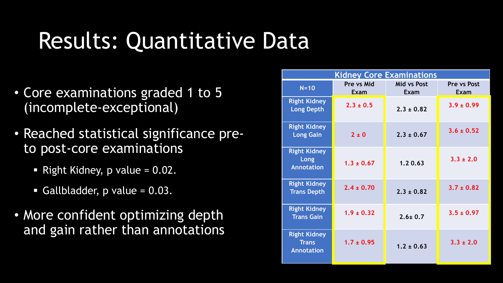### Results: Quantitative Data

- Core examinations graded 1 to 5 (incomplete-exceptional)
- Reached statistical significance preto post-core examinations
	- Right Kidney,  $p$  value = 0.02.
	- Gallbladder,  $p$  value = 0.03.
- More confident optimizing depth and gain rather than annotations

| <b>Kidney Core Examinations</b>                          |                    |                            |                     |  |  |
|----------------------------------------------------------|--------------------|----------------------------|---------------------|--|--|
| $N=10$                                                   | Pre vs Mid<br>Exam | <b>Mid vs Post</b><br>Exam | Pre vs Post<br>Exam |  |  |
| <b>Right Kidney</b><br><b>Long Depth</b>                 | $2.3 \pm 0.5$      | $2.3 \pm 0.82$             | $3.9 \pm 0.99$      |  |  |
| <b>Right Kidney</b><br><b>Long Gain</b>                  | $2 \pm 0$          | $2.3 \pm 0.67$             | $3.6 \pm 0.52$      |  |  |
| <b>Right Kidney</b><br><b>Long</b><br><b>Annotation</b>  | $1.3 \pm 0.67$     | 1.20.63                    | $3.3 \pm 2.0$       |  |  |
| <b>Right Kidney</b><br><b>Trans Depth</b>                | $2.4 \pm 0.70$     | $2.3 \pm 0.82$             | $3.7 \pm 0.82$      |  |  |
| <b>Right Kidney</b><br><b>Trans Gain</b>                 | $1.9 \pm 0.32$     | $2.6 \pm 0.7$              | $3.5 \pm 0.97$      |  |  |
| <b>Right Kidney</b><br><b>Trans</b><br><b>Annotation</b> | $1.7 \pm 0.95$     | $1.2 \pm 0.63$             | $3.3 \pm 2.0$       |  |  |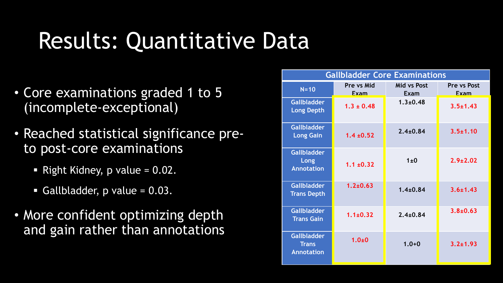### Results: Quantitative Data

- Core examinations graded 1 to 5 (incomplete-exceptional)
- Reached statistical significance preto post-core examinations
	- Right Kidney,  $p$  value = 0.02.
	- Gallbladder,  $p$  value = 0.03.
- More confident optimizing depth and gain rather than annotations

| <b>Gallbladder Core Examinations</b>                    |                           |                                   |                     |  |  |
|---------------------------------------------------------|---------------------------|-----------------------------------|---------------------|--|--|
| $N=10$                                                  | Pre vs Mid<br><b>Fxam</b> | <b>Mid vs Post</b><br><b>Exam</b> | Pre vs Post<br>Exam |  |  |
| <b>Gallbladder</b><br><b>Long Depth</b>                 | $1.3 \pm 0.48$            | $1.3 + 0.48$                      | $3.5 \pm 1.43$      |  |  |
| <b>Gallbladder</b><br><b>Long Gain</b>                  | $1.4 \pm 0.52$            | $2.4 \pm 0.84$                    | $3.5 \pm 1.10$      |  |  |
| <b>Gallbladder</b><br>Long<br><b>Annotation</b>         | $1.1 \pm 0.32$            | $1\pm0$                           | $2.9 \pm 2.02$      |  |  |
| <b>Gallbladder</b><br><b>Trans Depth</b>                | $1.2 + 0.63$              | $1.4 + 0.84$                      | $3.6 + 1.43$        |  |  |
| <b>Gallbladder</b><br><b>Trans Gain</b>                 | $1.1 \pm 0.32$            | $2.4 \pm 0.84$                    | $3.8 + 0.63$        |  |  |
| <b>Gallbladder</b><br><b>Trans</b><br><b>Annotation</b> | $1.0 + 0$                 | $1.0 + 0$                         | $3.2 + 1.93$        |  |  |